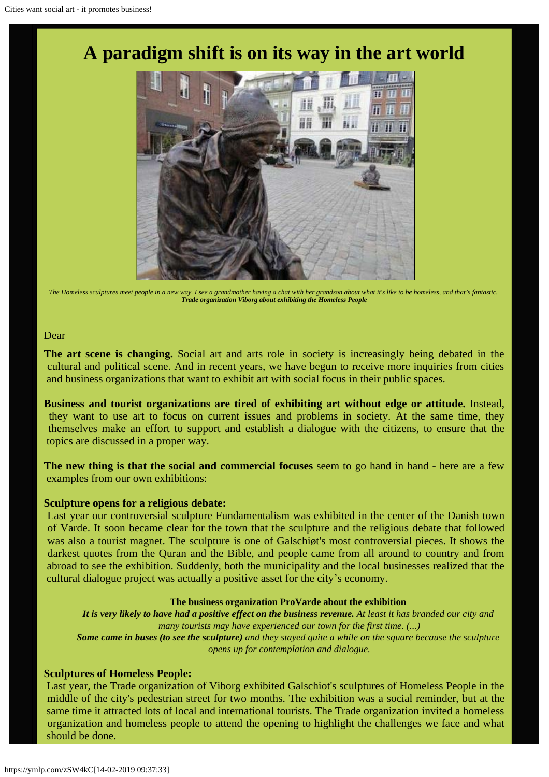# Ŧ

*The Homeless sculptures meet people in a new way. I see a grandmother having a chat with her grandson about what it's like to be homeless, and that's fantastic. Trade organization Viborg about exhibiting the Homeless People*

### Dear

**The art scene is changing.** Social art and arts role in society is increasingly being debated in the cultural and political scene. And in recent years, we have begun to receive more inquiries from cities and business organizations that want to exhibit art with social focus in their public spaces.

**Business and tourist organizations are tired of exhibiting art without edge or attitude.** Instead, they want to use art to focus on current issues and problems in society. At the same time, they themselves make an effort to support and establish a dialogue with the citizens, to ensure that the topics are discussed in a proper way.

**The new thing is that the social and commercial focuses** seem to go hand in hand - here are a few examples from our own exhibitions:

## **Sculpture opens for a religious debate:**

Last year our controversial sculpture Fundamentalism was exhibited in the center of the Danish town of Varde. It soon became clear for the town that the sculpture and the religious debate that followed was also a tourist magnet. The sculpture is one of Galschiøt's most controversial pieces. It shows the darkest quotes from the Quran and the Bible, and people came from all around to country and from abroad to see the exhibition. Suddenly, both the municipality and the local businesses realized that the cultural dialogue project was actually a positive asset for the city's economy.

### **The business organization ProVarde about the exhibition**

*It is very likely to have had a positive effect on the business revenue. At least it has branded our city and many tourists may have experienced our town for the first time. (...) Some came in buses (to see the sculpture) and they stayed quite a while on the square because the sculpture opens up for contemplation and dialogue.*

## **Sculptures of Homeless People:**

Last year, the Trade organization of Viborg exhibited Galschiot's sculptures of Homeless People in the middle of the city's pedestrian street for two months. The exhibition was a social reminder, but at the same time it attracted lots of local and international tourists. The Trade organization invited a homeless organization and homeless people to attend the opening to highlight the challenges we face and what should be done.

# **A paradigm shift is on its way in the art world**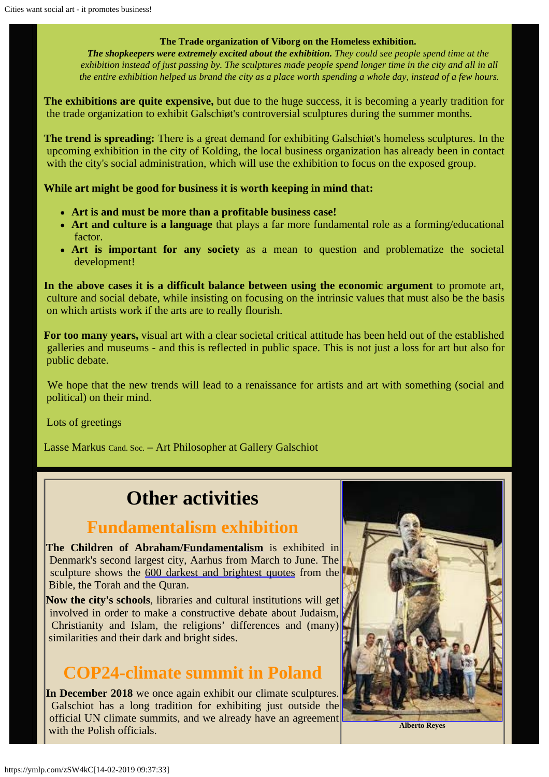## **The Trade organization of Viborg on the Homeless exhibition.**

*The shopkeepers were extremely excited about the exhibition. They could see people spend time at the exhibition instead of just passing by. The sculptures made people spend longer time in the city and all in all the entire exhibition helped us brand the city as a place worth spending a whole day, instead of a few hours.*

**The exhibitions are quite expensive,** but due to the huge success, it is becoming a yearly tradition for the trade organization to exhibit Galschiøt's controversial sculptures during the summer months.

**The trend is spreading:** There is a great demand for exhibiting Galschiøt's homeless sculptures. In the upcoming exhibition in the city of Kolding, the local business organization has already been in contact with the city's social administration, which will use the exhibition to focus on the exposed group.

**While art might be good for business it is worth keeping in mind that:**

- **Art is and must be more than a profitable business case!**
- **Art and culture is a language** that plays a far more fundamental role as a forming/educational factor.
- **Art is important for any society** as a mean to question and problematize the societal development!

**In the above cases it is a difficult balance between using the economic argument** to promote art, culture and social debate, while insisting on focusing on the intrinsic values that must also be the basis on which artists work if the arts are to really flourish.

**For too many years,** visual art with a clear societal critical attitude has been held out of the established galleries and museums - and this is reflected in public space. This is not just a loss for art but also for public debate.

We hope that the new trends will lead to a renaissance for artists and art with something (social and political) on their mind.

Lots of greetings

Lasse Markus Cand. Soc. – Art Philosopher at Gallery Galschiot

# **Other activities**

# **Fundamentalism exhibition**

**The Children of Abraham[/Fundamentalism](http://fundamentalism.dk/en/)** is exhibited in Denmark's second largest city, Aarhus from March to June. The sculpture shows the [600 darkest and brightest quotes](http://www.fundamentalism.dk/quotesearch/index.php?lang=GB) from the Bible, the Torah and the Quran.

**Now the city's schools**, libraries and cultural institutions will get involved in order to make a constructive debate about Judaism, Christianity and Islam, the religions' differences and (many) similarities and their dark and bright sides.

# **COP24-climate summit in Poland**

**In December 2018** we once again exhibit our climate sculptures. Galschiot has a long tradition for exhibiting just outside the official UN climate summits, and we already have an agreement with the Polish officials.

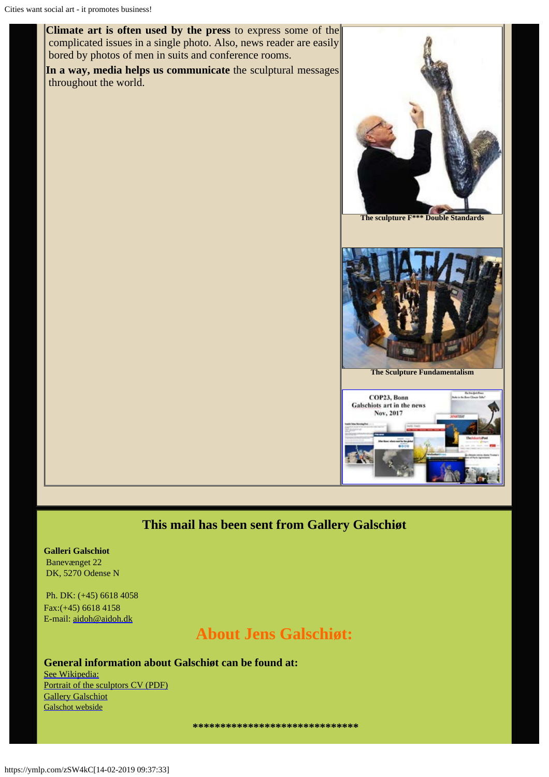**Climate art is often used by the press** to express some of the complicated issues in a single photo. Also, news reader are easily bored by photos of men in suits and conference rooms.

**In a way, media helps us communicate** the sculptural messages throughout the world.





**The Sculpture Fundamentalism**



# **This mail has been sent from Gallery Galschiøt**

**Galleri Galschiot** Banevænget 22 DK, 5270 Odense N

Ph. DK: (+45) 6618 4058 Fax:(+45) 6618 4158 E-mail: [aidoh@aidoh.dk](mailto:aidoh@aidoh.dk)

# **About Jens Galschiøt:**

# **General information about Galschiøt can be found at:**

[See Wikipedia:](http://en.wikipedia.org/wiki/Galschi%C3%B8t) [Portrait of the sculptors CV \(PDF\)](http://www.aidoh.dk/new-struct/About-Jens-Galschiot/CV.pdf) [Gallery Galschiot](http://www.gallerigalschiot.dk/index_en.html) [Galschot webside](http://www.galschiot.com/)

 **\*\*\*\*\*\*\*\*\*\*\*\*\*\*\*\*\*\*\*\*\*\*\*\*\*\*\*\*\*\***